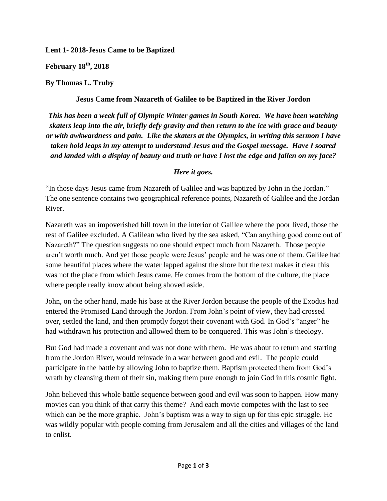**Lent 1- 2018-Jesus Came to be Baptized**

**February 18th, 2018**

**By Thomas L. Truby**

**Jesus Came from Nazareth of Galilee to be Baptized in the River Jordon**

*This has been a week full of Olympic Winter games in South Korea. We have been watching skaters leap into the air, briefly defy gravity and then return to the ice with grace and beauty or with awkwardness and pain. Like the skaters at the Olympics, in writing this sermon I have taken bold leaps in my attempt to understand Jesus and the Gospel message. Have I soared and landed with a display of beauty and truth or have I lost the edge and fallen on my face?* 

## *Here it goes.*

"In those days Jesus came from Nazareth of Galilee and was baptized by John in the Jordan." The one sentence contains two geographical reference points, Nazareth of Galilee and the Jordan River.

Nazareth was an impoverished hill town in the interior of Galilee where the poor lived, those the rest of Galilee excluded. A Galilean who lived by the sea asked, "Can anything good come out of Nazareth?" The question suggests no one should expect much from Nazareth. Those people aren't worth much. And yet those people were Jesus' people and he was one of them. Galilee had some beautiful places where the water lapped against the shore but the text makes it clear this was not the place from which Jesus came. He comes from the bottom of the culture, the place where people really know about being shoved aside.

John, on the other hand, made his base at the River Jordon because the people of the Exodus had entered the Promised Land through the Jordon. From John's point of view, they had crossed over, settled the land, and then promptly forgot their covenant with God. In God's "anger" he had withdrawn his protection and allowed them to be conquered. This was John's theology.

But God had made a covenant and was not done with them. He was about to return and starting from the Jordon River, would reinvade in a war between good and evil. The people could participate in the battle by allowing John to baptize them. Baptism protected them from God's wrath by cleansing them of their sin, making them pure enough to join God in this cosmic fight.

John believed this whole battle sequence between good and evil was soon to happen. How many movies can you think of that carry this theme? And each movie competes with the last to see which can be the more graphic. John's baptism was a way to sign up for this epic struggle. He was wildly popular with people coming from Jerusalem and all the cities and villages of the land to enlist.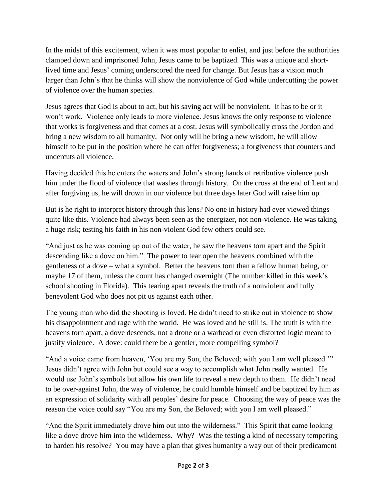In the midst of this excitement, when it was most popular to enlist, and just before the authorities clamped down and imprisoned John, Jesus came to be baptized. This was a unique and shortlived time and Jesus' coming underscored the need for change. But Jesus has a vision much larger than John's that he thinks will show the nonviolence of God while undercutting the power of violence over the human species.

Jesus agrees that God is about to act, but his saving act will be nonviolent. It has to be or it won't work. Violence only leads to more violence. Jesus knows the only response to violence that works is forgiveness and that comes at a cost. Jesus will symbolically cross the Jordon and bring a new wisdom to all humanity. Not only will he bring a new wisdom, he will allow himself to be put in the position where he can offer forgiveness; a forgiveness that counters and undercuts all violence.

Having decided this he enters the waters and John's strong hands of retributive violence push him under the flood of violence that washes through history. On the cross at the end of Lent and after forgiving us, he will drown in our violence but three days later God will raise him up.

But is he right to interpret history through this lens? No one in history had ever viewed things quite like this. Violence had always been seen as the energizer, not non-violence. He was taking a huge risk; testing his faith in his non-violent God few others could see.

"And just as he was coming up out of the water, he saw the heavens torn apart and the Spirit descending like a dove on him." The power to tear open the heavens combined with the gentleness of a dove – what a symbol. Better the heavens torn than a fellow human being, or maybe 17 of them, unless the count has changed overnight (The number killed in this week's school shooting in Florida). This tearing apart reveals the truth of a nonviolent and fully benevolent God who does not pit us against each other.

The young man who did the shooting is loved. He didn't need to strike out in violence to show his disappointment and rage with the world. He was loved and he still is. The truth is with the heavens torn apart, a dove descends, not a drone or a warhead or even distorted logic meant to justify violence. A dove: could there be a gentler, more compelling symbol?

"And a voice came from heaven, 'You are my Son, the Beloved; with you I am well pleased.'" Jesus didn't agree with John but could see a way to accomplish what John really wanted. He would use John's symbols but allow his own life to reveal a new depth to them. He didn't need to be over-against John, the way of violence, he could humble himself and be baptized by him as an expression of solidarity with all peoples' desire for peace. Choosing the way of peace was the reason the voice could say "You are my Son, the Beloved; with you I am well pleased."

"And the Spirit immediately drove him out into the wilderness." This Spirit that came looking like a dove drove him into the wilderness. Why? Was the testing a kind of necessary tempering to harden his resolve? You may have a plan that gives humanity a way out of their predicament